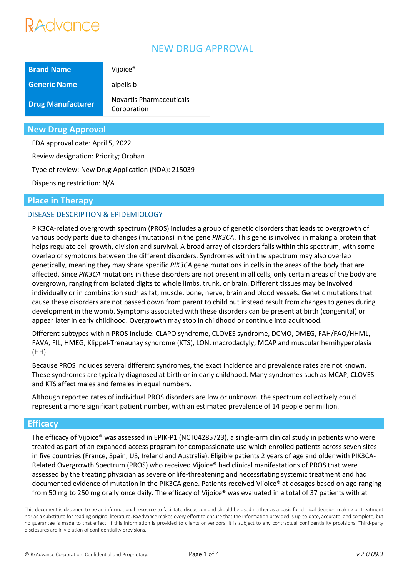# Advance

# NEW DRUG APPROVAL

| <b>Brand Name</b>        | Vijoice <sup>®</sup>                    |
|--------------------------|-----------------------------------------|
| <b>Generic Name</b>      | alpelisib                               |
| <b>Drug Manufacturer</b> | Novartis Pharmaceuticals<br>Corporation |

## **New Drug Approval**

FDA approval date: April 5, 2022

Review designation: Priority; Orphan

Type of review: New Drug Application (NDA): 215039

Dispensing restriction: N/A

## **Place in Therapy**

## DISEASE DESCRIPTION & EPIDEMIOLOGY

PIK3CA-related overgrowth spectrum (PROS) includes a group of genetic disorders that leads to overgrowth of various body parts due to changes (mutations) in the gene *PIK3CA*. This gene is involved in making a protein that helps regulate cell growth, division and survival. A broad array of disorders falls within this spectrum, with some overlap of symptoms between the different disorders. Syndromes within the spectrum may also overlap genetically, meaning they may share specific *PIK3CA* gene mutations in cells in the areas of the body that are affected. Since *PIK3CA* mutations in these disorders are not present in all cells, only certain areas of the body are overgrown, ranging from isolated digits to whole limbs, trunk, or brain. Different tissues may be involved individually or in combination such as fat, muscle, bone, nerve, brain and blood vessels. Genetic mutations that cause these disorders are not passed down from parent to child but instead result from changes to genes during development in the womb. Symptoms associated with these disorders can be present at birth (congenital) or appear later in early childhood. Overgrowth may stop in childhood or continue into adulthood.

Different subtypes within PROS include: CLAPO syndrome, CLOVES syndrome, DCMO, DMEG, FAH/FAO/HHML, FAVA, FIL, HMEG, Klippel-Trenaunay syndrome (KTS), LON, macrodactyly, MCAP and muscular hemihyperplasia (HH).

Because PROS includes several different syndromes, the exact incidence and prevalence rates are not known. These syndromes are typically diagnosed at birth or in early childhood. Many syndromes such as MCAP, CLOVES and KTS affect males and females in equal numbers.

Although reported rates of individual PROS disorders are low or unknown, the spectrum collectively could represent a more significant patient number, with an estimated prevalence of 14 people per million.

## **Efficacy**

The efficacy of Vijoice® was assessed in EPIK-P1 (NCT04285723), a single-arm clinical study in patients who were treated as part of an expanded access program for compassionate use which enrolled patients across seven sites in five countries (France, Spain, US, Ireland and Australia). Eligible patients 2 years of age and older with PIK3CA-Related Overgrowth Spectrum (PROS) who received Vijoice® had clinical manifestations of PROS that were assessed by the treating physician as severe or life-threatening and necessitating systemic treatment and had documented evidence of mutation in the PIK3CA gene. Patients received Vijoice® at dosages based on age ranging from 50 mg to 250 mg orally once daily. The efficacy of Vijoice® was evaluated in a total of 37 patients with at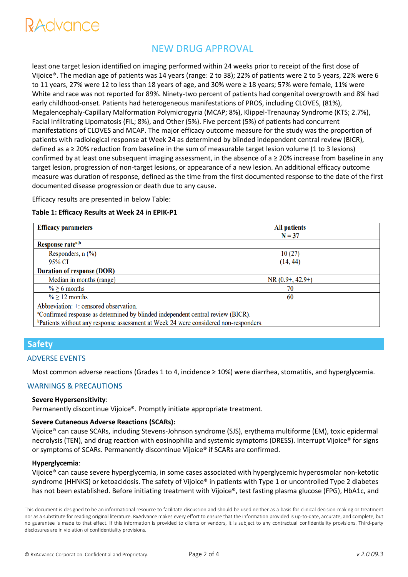# NEW DRUG APPROVAL

least one target lesion identified on imaging performed within 24 weeks prior to receipt of the first dose of Vijoice®. The median age of patients was 14 years (range: 2 to 38); 22% of patients were 2 to 5 years, 22% were 6 to 11 years, 27% were 12 to less than 18 years of age, and 30% were ≥ 18 years; 57% were female, 11% were White and race was not reported for 89%. Ninety-two percent of patients had congenital overgrowth and 8% had early childhood-onset. Patients had heterogeneous manifestations of PROS, including CLOVES, (81%), Megalencephaly-Capillary Malformation Polymicrogyria (MCAP; 8%), Klippel-Trenaunay Syndrome (KTS; 2.7%), Facial Infiltrating Lipomatosis (FIL; 8%), and Other (5%). Five percent (5%) of patients had concurrent manifestations of CLOVES and MCAP. The major efficacy outcome measure for the study was the proportion of patients with radiological response at Week 24 as determined by blinded independent central review (BICR), defined as a ≥ 20% reduction from baseline in the sum of measurable target lesion volume (1 to 3 lesions) confirmed by at least one subsequent imaging assessment, in the absence of  $a \ge 20\%$  increase from baseline in any target lesion, progression of non-target lesions, or appearance of a new lesion. An additional efficacy outcome measure was duration of response, defined as the time from the first documented response to the date of the first documented disease progression or death due to any cause.

Efficacy results are presented in below Table:

#### **Table 1: Efficacy Results at Week 24 in EPIK-P1**

| <b>Efficacy parameters</b>                                                                  | <b>All patients</b> |  |
|---------------------------------------------------------------------------------------------|---------------------|--|
|                                                                                             | $N = 37$            |  |
| Response rate <sup>a,b</sup>                                                                |                     |  |
| Responders, $n$ $(\%)$                                                                      | 10(27)              |  |
| 95% CI                                                                                      | (14, 44)            |  |
| <b>Duration of response (DOR)</b>                                                           |                     |  |
| Median in months (range)                                                                    | $NR(0.9+, 42.9+)$   |  |
| $\% \geq 6$ months                                                                          | 70                  |  |
| $\% \geq 12$ months                                                                         | 60                  |  |
| Abbreviation: +: censored observation.                                                      |                     |  |
| <sup>a</sup> Confirmed response as determined by blinded independent central review (BICR). |                     |  |
| $b$ Deticate with out carr accacago cocograph of Week 24 week considered a on accapacitor   |                     |  |

 $\mid$  "Patients without any response assessment at week 24 were considered non-responders.

# **Safety**

#### ADVERSE EVENTS

Most common adverse reactions (Grades 1 to 4, incidence ≥ 10%) were diarrhea, stomatitis, and hyperglycemia.

#### WARNINGS & PRECAUTIONS

#### **Severe Hypersensitivity**:

Permanently discontinue Vijoice®. Promptly initiate appropriate treatment.

#### **Severe Cutaneous Adverse Reactions (SCARs):**

Vijoice® can cause SCARs, including Stevens-Johnson syndrome (SJS), erythema multiforme (EM), toxic epidermal necrolysis (TEN), and drug reaction with eosinophilia and systemic symptoms (DRESS). Interrupt Vijoice® for signs or symptoms of SCARs. Permanently discontinue Vijoice® if SCARs are confirmed.

#### **Hyperglycemia**:

Vijoice® can cause severe hyperglycemia, in some cases associated with hyperglycemic hyperosmolar non-ketotic syndrome (HHNKS) or ketoacidosis. The safety of Vijoice® in patients with Type 1 or uncontrolled Type 2 diabetes has not been established. Before initiating treatment with Vijoice®, test fasting plasma glucose (FPG), HbA1c, and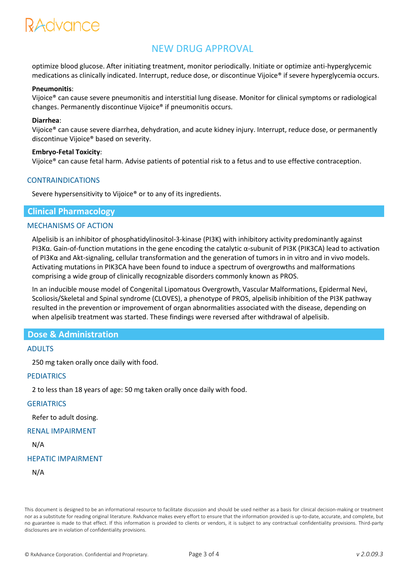# RAdvance

# NEW DRUG APPROVAL

optimize blood glucose. After initiating treatment, monitor periodically. Initiate or optimize anti-hyperglycemic medications as clinically indicated. Interrupt, reduce dose, or discontinue Vijoice® if severe hyperglycemia occurs.

#### **Pneumonitis**:

Vijoice® can cause severe pneumonitis and interstitial lung disease. Monitor for clinical symptoms or radiological changes. Permanently discontinue Vijoice® if pneumonitis occurs.

#### **Diarrhea**:

Vijoice® can cause severe diarrhea, dehydration, and acute kidney injury. Interrupt, reduce dose, or permanently discontinue Vijoice® based on severity.

#### **Embryo-Fetal Toxicity**:

Vijoice® can cause fetal harm. Advise patients of potential risk to a fetus and to use effective contraception.

#### CONTRAINDICATIONS

Severe hypersensitivity to Vijoice® or to any of its ingredients.

#### **Clinical Pharmacology**

#### MECHANISMS OF ACTION

Alpelisib is an inhibitor of phosphatidylinositol-3-kinase (PI3K) with inhibitory activity predominantly against PI3Kα. Gain-of-function mutations in the gene encoding the catalytic α-subunit of PI3K (PIK3CA) lead to activation of PI3Kα and Akt-signaling, cellular transformation and the generation of tumors in in vitro and in vivo models. Activating mutations in PIK3CA have been found to induce a spectrum of overgrowths and malformations comprising a wide group of clinically recognizable disorders commonly known as PROS.

In an inducible mouse model of Congenital Lipomatous Overgrowth, Vascular Malformations, Epidermal Nevi, Scoliosis/Skeletal and Spinal syndrome (CLOVES), a phenotype of PROS, alpelisib inhibition of the PI3K pathway resulted in the prevention or improvement of organ abnormalities associated with the disease, depending on when alpelisib treatment was started. These findings were reversed after withdrawal of alpelisib.

## **Dose & Administration**

#### ADULTS

250 mg taken orally once daily with food.

#### **PEDIATRICS**

2 to less than 18 years of age: 50 mg taken orally once daily with food.

#### **GERIATRICS**

Refer to adult dosing.

#### RENAL IMPAIRMENT

#### N/A

#### HEPATIC IMPAIRMENT

N/A